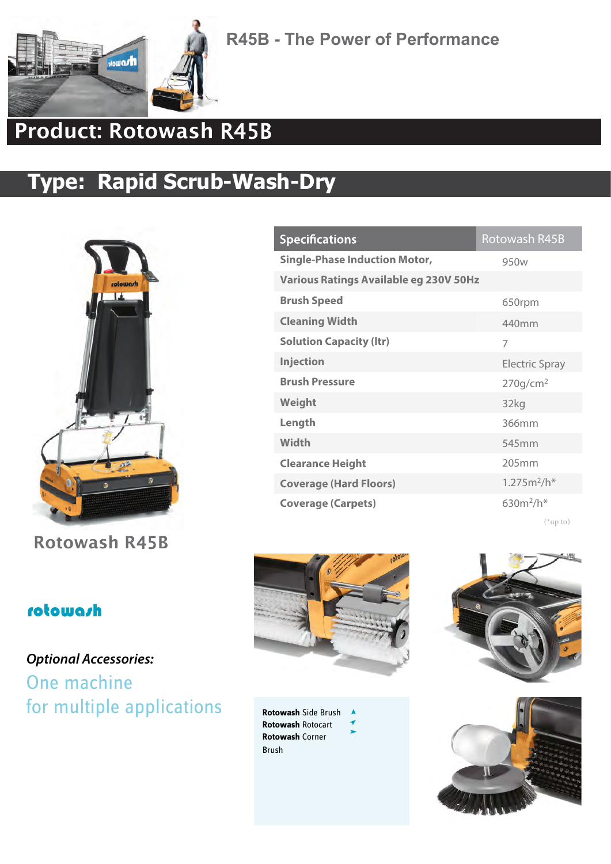

**R45B - The Power of Performance**

## Product: Rotowash R45B

## **Type: Rapid Scrub-Wash-Dry**



Rotowash R45B

#### Rotowash R45B **Specifications Single-Phase Induction Motor,** 950w **Various Ratings Available eg 230V 50Hz Brush Speed** 650rpm **Cleaning Width** 440mm **Solution Capacity (ltr)** 7 **Injection** Electric Spray **Brush Pressure** 270g/cm<sup>2</sup> **Weight**  32kg **Length** 366mm **Width** 545mm **Clearance Height** 205mm **Coverage (Hard Floors)** 1.275m<sup>2</sup> /h\* **Coverage (Carpets)** 630m<sup>2</sup> /h\*

(\*up to)

#### rotowash

### **Optional Accessories:** One machine for multiple applications Rotowash Side Brush



 $\lambda$ 

**Rotowash** Rotocart **Rotowash** Corner Brush